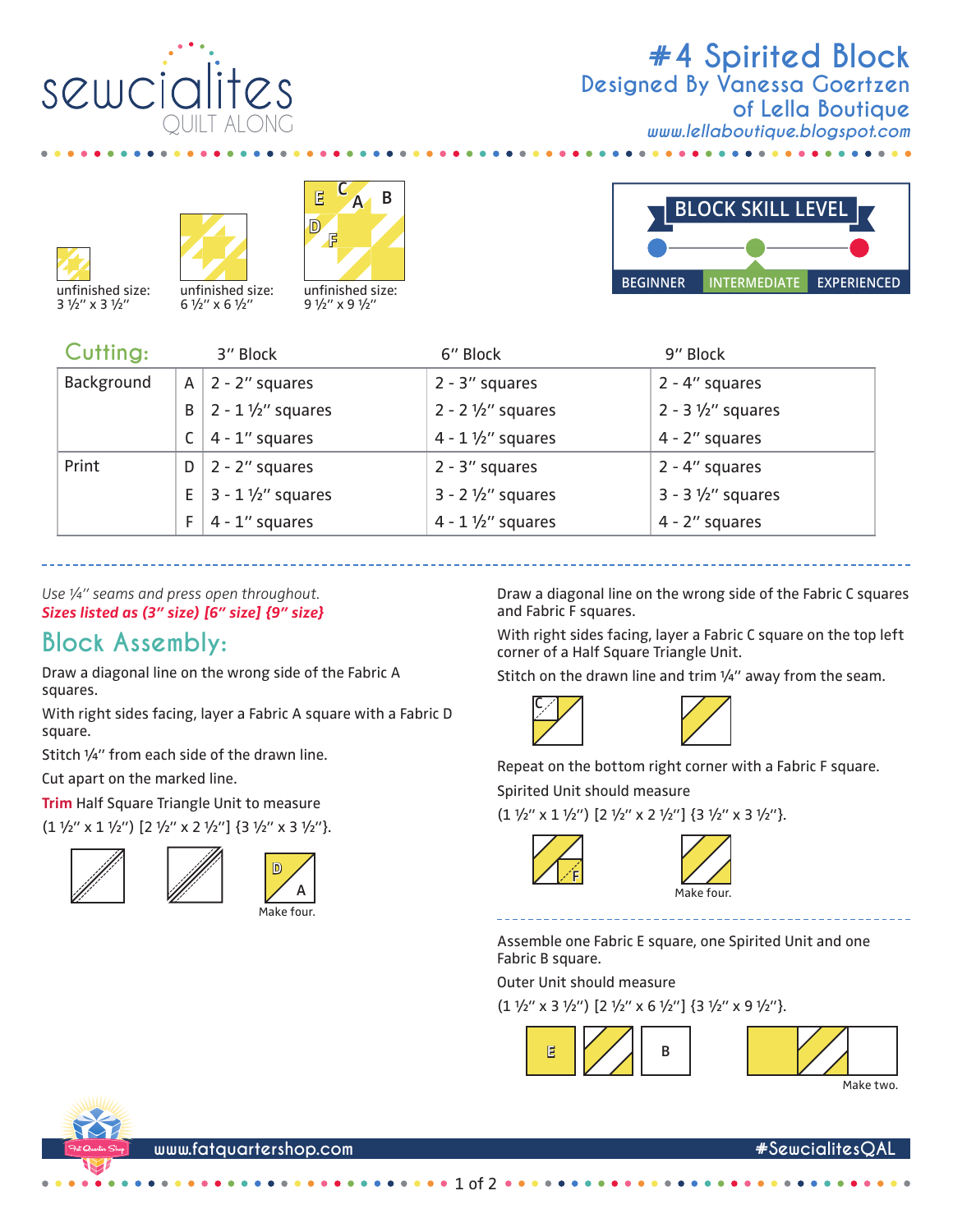

## **#4 Spirited Block** *www.lellaboutique.blogspot.com* **Designed By Vanessa Goertzen of Lella Boutique**







unfinished size: 9 1/2" x 9 1/2"



| Cutting:   |              | 3" Block                    | 6" Block                    | 9" Block                    |
|------------|--------------|-----------------------------|-----------------------------|-----------------------------|
| Background | $\mathsf{A}$ | $2 - 2$ " squares           | $2 - 3''$ squares           | 2 - 4" squares              |
|            | B            | $2 - 1 \frac{1}{2}$ squares | $2 - 2 \frac{1}{2}$ squares | $2 - 3 \frac{1}{2}$ squares |
|            |              | $4 - 1$ " squares           | $4 - 1 \frac{1}{2}$ squares | 4 - 2" squares              |
| Print      | D            | $2 - 2$ " squares           | $2 - 3''$ squares           | $2 - 4$ " squares           |
|            | E            | $3 - 1 \frac{1}{2}$ squares | $3 - 2 \frac{1}{2}$ squares | $3 - 3 \frac{1}{2}$ squares |
|            | F.           | $4 - 1$ " squares           | $4 - 1 \frac{1}{2}$ squares | 4 - 2" squares              |

*Use ¼" seams and press open throughout. Sizes listed as (3" size) [6" size] {9" size}*

## **Block Assembly:**

Draw a diagonal line on the wrong side of the Fabric A squares.

With right sides facing, layer a Fabric A square with a Fabric D square.

Stitch ¼" from each side of the drawn line.

Cut apart on the marked line.

**Trim** Half Square Triangle Unit to measure

 $(1 \frac{1}{2}$ " x 1  $\frac{1}{2}$ ")  $[2 \frac{1}{2}$ " x 2  $\frac{1}{2}$ "]  $\{3 \frac{1}{2}$ " x 3  $\frac{1}{2}$ "}.





Draw a diagonal line on the wrong side of the Fabric C squares and Fabric F squares.

With right sides facing, layer a Fabric C square on the top left corner of a Half Square Triangle Unit.

Stitch on the drawn line and trim 1/4" away from the seam.





Repeat on the bottom right corner with a Fabric F square. Spirited Unit should measure

 $(1 \frac{1}{2}$ " x 1  $\frac{1}{2}$ ")  $[2 \frac{1}{2}$ " x 2  $\frac{1}{2}$ " $]$  {3  $\frac{1}{2}$ " x 3  $\frac{1}{2}$ "}.





Assemble one Fabric E square, one Spirited Unit and one Fabric B square.

Outer Unit should measure

 $(1 \frac{1}{2}$ " x 3  $\frac{1}{2}$ ")  $[2 \frac{1}{2}$ " x 6  $\frac{1}{2}$ "]  $\{3 \frac{1}{2}$ " x 9  $\frac{1}{2}$ "}.





Make two.



 $of 2$